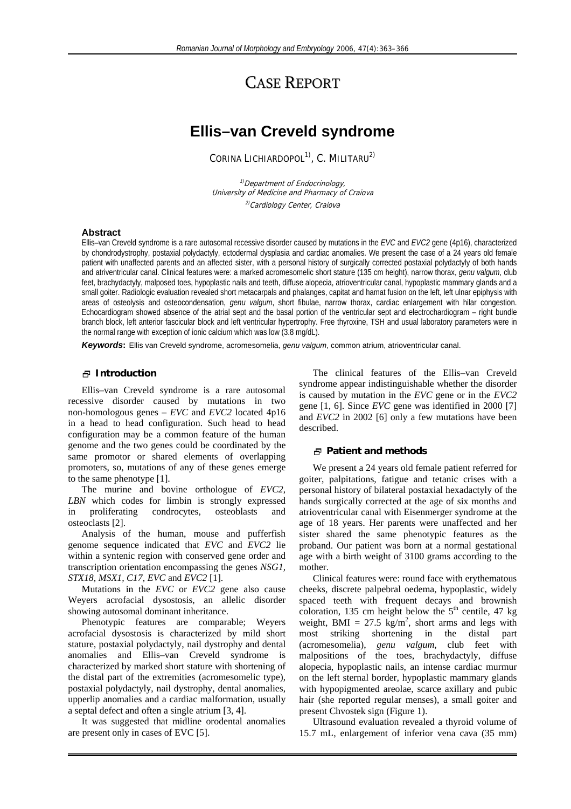# CASE REPORT

## **Ellis–van Creveld syndrome**

CORINA LICHIARDOPOL<sup>1)</sup>, C. MILITARU<sup>2)</sup>

<sup>1)</sup> Department of Endocrinology, University of Medicine and Pharmacy of Craiova <sup>2)</sup>Cardiology Center, Craiova

#### **Abstract**

Ellis–van Creveld syndrome is a rare autosomal recessive disorder caused by mutations in the *EVC* and *EVC2* gene (4p16), characterized by chondrodystrophy, postaxial polydactyly, ectodermal dysplasia and cardiac anomalies. We present the case of a 24 years old female patient with unaffected parents and an affected sister, with a personal history of surgically corrected postaxial polydactyly of both hands and atriventricular canal. Clinical features were: a marked acromesomelic short stature (135 cm height), narrow thorax, *genu valgum*, club feet, brachydactyly, malposed toes, hypoplastic nails and teeth, diffuse alopecia, atrioventricular canal, hypoplastic mammary glands and a small goiter. Radiologic evaluation revealed short metacarpals and phalanges, capitat and hamat fusion on the left, left ulnar epiphysis with areas of osteolysis and osteocondensation, *genu valgum*, short fibulae, narrow thorax, cardiac enlargement with hilar congestion. Echocardiogram showed absence of the atrial sept and the basal portion of the ventricular sept and electrochardiogram – right bundle branch block, left anterior fascicular block and left ventricular hypertrophy. Free thyroxine, TSH and usual laboratory parameters were in the normal range with exception of ionic calcium which was low (3.8 mg/dL).

*Keywords***:** Ellis van Creveld syndrome, acromesomelia, *genu valgum*, common atrium, atrioventricular canal.

#### **Introduction**

Ellis–van Creveld syndrome is a rare autosomal recessive disorder caused by mutations in two non-homologous genes – *EVC* and *EVC2* located 4p16 in a head to head configuration. Such head to head configuration may be a common feature of the human genome and the two genes could be coordinated by the same promotor or shared elements of overlapping promoters, so, mutations of any of these genes emerge to the same phenotype [1].

The murine and bovine orthologue of *EVC2*, *LBN* which codes for limbin is strongly expressed in proliferating condrocytes, osteoblasts and osteoclasts [2].

Analysis of the human, mouse and pufferfish genome sequence indicated that *EVC* and *EVC2* lie within a syntenic region with conserved gene order and transcription orientation encompassing the genes *NSG1, STX18, MSX1, C17, EVC* and *EVC2* [1].

Mutations in the *EVC* or *EVC2* gene also cause Weyers acrofacial dysostosis, an allelic disorder showing autosomal dominant inheritance.

Phenotypic features are comparable; Weyers acrofacial dysostosis is characterized by mild short stature, postaxial polydactyly, nail dystrophy and dental anomalies and Ellis–van Creveld syndrome is characterized by marked short stature with shortening of the distal part of the extremities (acromesomelic type), postaxial polydactyly, nail dystrophy, dental anomalies, upperlip anomalies and a cardiac malformation, usually a septal defect and often a single atrium [3, 4].

It was suggested that midline orodental anomalies are present only in cases of EVC [5].

The clinical features of the Ellis–van Creveld syndrome appear indistinguishable whether the disorder is caused by mutation in the *EVC* gene or in the *EVC2* gene [1, 6]. Since *EVC* gene was identified in 2000 [7] and *EVC2* in 2002 [6] only a few mutations have been described.

#### **Patient and methods**

We present a 24 years old female patient referred for goiter, palpitations, fatigue and tetanic crises with a personal history of bilateral postaxial hexadactyly of the hands surgically corrected at the age of six months and atrioventricular canal with Eisenmerger syndrome at the age of 18 years. Her parents were unaffected and her sister shared the same phenotypic features as the proband. Our patient was born at a normal gestational age with a birth weight of 3100 grams according to the mother.

Clinical features were: round face with erythematous cheeks, discrete palpebral oedema, hypoplastic, widely spaced teeth with frequent decays and brownish coloration, 135 cm height below the  $5<sup>th</sup>$  centile, 47 kg weight, BMI =  $27.5 \text{ kg/m}^2$ , short arms and legs with most striking shortening in the distal part (acromesomelia), *genu valgum*, club feet with malpositions of the toes, brachydactyly, diffuse alopecia, hypoplastic nails, an intense cardiac murmur on the left sternal border, hypoplastic mammary glands with hypopigmented areolae, scarce axillary and pubic hair (she reported regular menses), a small goiter and present Chvostek sign (Figure 1).

Ultrasound evaluation revealed a thyroid volume of 15.7 mL, enlargement of inferior vena cava (35 mm)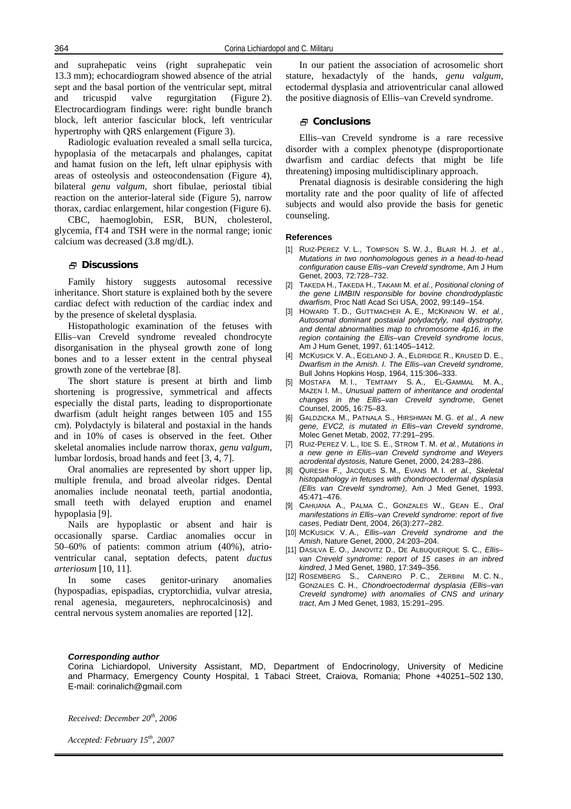and suprahepatic veins (right suprahepatic vein 13.3 mm); echocardiogram showed absence of the atrial sept and the basal portion of the ventricular sept, mitral and tricuspid valve regurgitation (Figure 2). Electrocardiogram findings were: right bundle branch block, left anterior fascicular block, left ventricular hypertrophy with QRS enlargement (Figure 3).

Radiologic evaluation revealed a small sella turcica, hypoplasia of the metacarpals and phalanges, capitat and hamat fusion on the left, left ulnar epiphysis with areas of osteolysis and osteocondensation (Figure 4), bilateral *genu valgum*, short fibulae, periostal tibial reaction on the anterior-lateral side (Figure 5), narrow thorax, cardiac enlargement, hilar congestion (Figure 6).

CBC, haemoglobin, ESR, BUN, cholesterol, glycemia, fT4 and TSH were in the normal range; ionic calcium was decreased (3.8 mg/dL).

### **Discussions**

Family history suggests autosomal recessive inheritance. Short stature is explained both by the severe cardiac defect with reduction of the cardiac index and by the presence of skeletal dysplasia.

Histopathologic examination of the fetuses with Ellis–van Creveld syndrome revealed chondrocyte disorganisation in the physeal growth zone of long bones and to a lesser extent in the central physeal growth zone of the vertebrae [8].

The short stature is present at birth and limb shortening is progressive, symmetrical and affects especially the distal parts, leading to disproportionate dwarfism (adult height ranges between 105 and 155 cm). Polydactyly is bilateral and postaxial in the hands and in 10% of cases is observed in the feet. Other skeletal anomalies include narrow thorax, *genu valgum*, lumbar lordosis, broad hands and feet [3, 4, 7].

Oral anomalies are represented by short upper lip, multiple frenula, and broad alveolar ridges. Dental anomalies include neonatal teeth, partial anodontia, small teeth with delayed eruption and enamel hypoplasia [9].

Nails are hypoplastic or absent and hair is occasionally sparse. Cardiac anomalies occur in 50–60% of patients: common atrium (40%), atrioventricular canal, septation defects, patent *ductus arteriosum* [10, 11].

In some cases genitor-urinary anomalies (hypospadias, epispadias, cryptorchidia, vulvar atresia, renal agenesia, megaureters, nephrocalcinosis) and central nervous system anomalies are reported [12].

In our patient the association of acrosomelic short stature, hexadactyly of the hands, *genu valgum*, ectodermal dysplasia and atrioventricular canal allowed the positive diagnosis of Ellis–van Creveld syndrome.

### **Conclusions**

Ellis–van Creveld syndrome is a rare recessive disorder with a complex phenotype (disproportionate dwarfism and cardiac defects that might be life threatening) imposing multidisciplinary approach.

Prenatal diagnosis is desirable considering the high mortality rate and the poor quality of life of affected subjects and would also provide the basis for genetic counseling.

#### **References**

- [1] RUIZ-PEREZ V. L., TOMPSON S. W. J., BLAIR H. J. *et al.*, *Mutations in two nonhomologous genes in a head-to-head configuration cause Ellis–van Creveld syndrome*, Am J Hum Genet, 2003, 72:728–732.
- [2] TAKEDA H., TAKEDA H., TAKAMI M. *et al.*, *Positional cloning of the gene LIMBIN responsible for bovine chondrodyplastic dwarfism*, Proc Natl Acad Sci USA, 2002, 99:149–154.
- [3] HOWARD T. D., GUTTMACHER A. E., MCKINNON W. *et al.*, *Autosomal dominant postaxial polydactyly, nail dystrophy, and dental abnormalities map to chromosome 4p16, in the region containing the Ellis–van Creveld syndrome locus*, Am J Hum Genet, 1997, 61:1405–1412.
- [4] MCKUSICK V. A., EGELAND J. A., ELDRIDGE R., KRUSED D. E., *Dwarfism in the Amish. I. The Ellis–van Creveld syndrome*, Bull Johns Hopkins Hosp, 1964, 115:306–333.
- [5] MOSTAFA M. I., TEMTAMY S. A., EL-GAMMAL M. A., MAZEN I. M., *Unusual pattern of inheritance and orodental changes in the Ellis–van Creveld syndrome*, Genet Counsel, 2005, 16:75–83.
- [6] GALDZICKA M., PATNALA S., HIRSHMAN M. G. *et al.*, *A new gene, EVC2, is mutated in Ellis–van Creveld syndrome*, Molec Genet Metab, 2002, 77:291–295.
- [7] RUIZ-PEREZ V. L., IDE S. E., STROM T. M. *et al.*, *Mutations in a new gene in Ellis–van Creveld syndrome and Weyers acrodental dystosis*, Nature Genet, 2000, 24:283–286.
- [8] QURESHI F., JACQUES S. M., EVANS M. I. *et al.*, *Skeletal histopathology in fetuses with chondroectodermal dysplasia (Ellis van Creveld syndrome)*, Am J Med Genet, 1993, 45:471–476.
- [9] CAHUANA A., PALMA C., GONZALES W., GEAN E., *Oral manifestations in Ellis–van Creveld syndrome: report of five cases*, Pediatr Dent, 2004, 26(3):277–282.
- [10] MCKUSICK V. A., *Ellis–van Creveld syndrome and the Amish*, Nature Genet, 2000, 24:203–204.
- [11] DASILVA E. O., JANOVITZ D., DE ALBUQUERQUE S. C., *Ellis– van Creveld syndrome: report of 15 cases in an inbred kindred*, J Med Genet, 1980, 17:349–356.
- [12] ROSEMBERG S., CARNEIRO P. C., ZERBINI M. C. N., GONZALES C. H., *Chondroectodermal dysplasia (Ellis–van Creveld syndrome) with anomalies of CNS and urinary tract*, Am J Med Genet, 1983, 15:291–295.

#### *Corresponding author*

Corina Lichiardopol, University Assistant, MD, Department of Endocrinology, University of Medicine and Pharmacy, Emergency County Hospital, 1 Tabaci Street, Craiova, Romania; Phone +40251–502 130, E-mail: corinalich@gmail.com

*Received: December 20th, 2006* 

*Accepted: February 15th, 2007*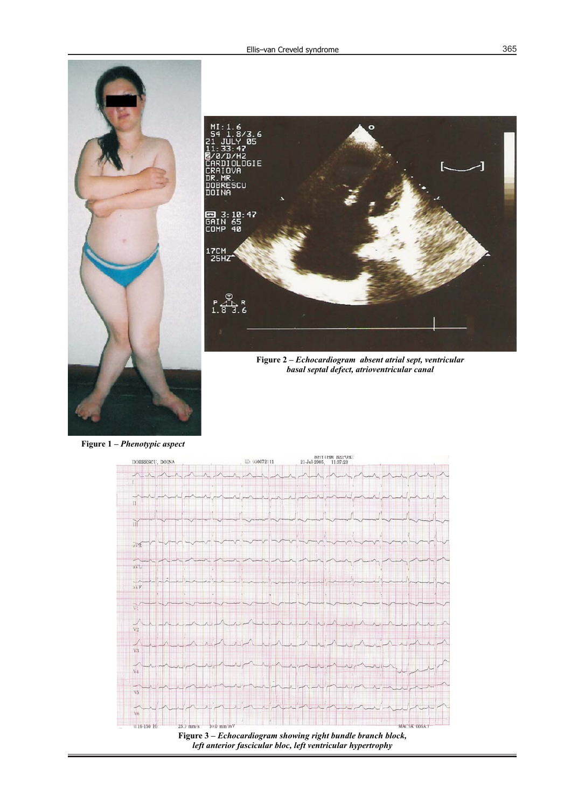

**Figure 1 –** *Phenotypic aspect*



**Figure 3 –** *Echocardiogram showing right bundle branch block, left anterior fascicular bloc, left ventricular hypertrophy*